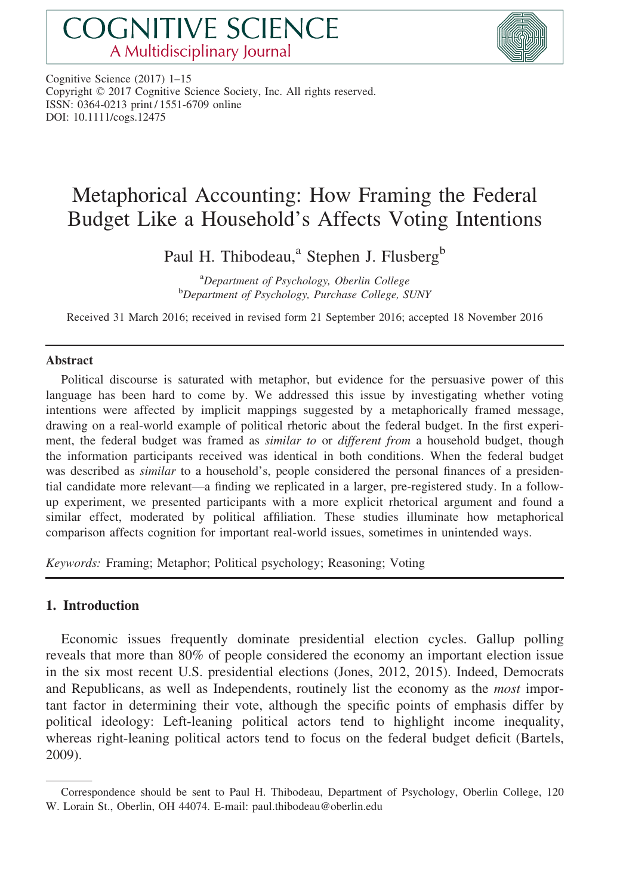# **COGNITIVE SCIENCE** A Multidisciplinary Journal



Cognitive Science (2017) 1–15 Copyright © 2017 Cognitive Science Society, Inc. All rights reserved. ISSN: 0364-0213 print / 1551-6709 online DOI: 10.1111/cogs.12475

# Metaphorical Accounting: How Framing the Federal Budget Like a Household's Affects Voting Intentions

Paul H. Thibodeau,<sup>a</sup> Stephen J. Flusberg<sup>b</sup>

<sup>a</sup> Department of Psychology, Oberlin College<br><sup>b</sup> Department of Psychology, Purchase College, S <sup>b</sup>Department of Psychology, Purchase College, SUNY

Received 31 March 2016; received in revised form 21 September 2016; accepted 18 November 2016

#### Abstract

Political discourse is saturated with metaphor, but evidence for the persuasive power of this language has been hard to come by. We addressed this issue by investigating whether voting intentions were affected by implicit mappings suggested by a metaphorically framed message, drawing on a real-world example of political rhetoric about the federal budget. In the first experiment, the federal budget was framed as *similar to* or *different from* a household budget, though the information participants received was identical in both conditions. When the federal budget was described as *similar* to a household's, people considered the personal finances of a presidential candidate more relevant—a finding we replicated in a larger, pre-registered study. In a followup experiment, we presented participants with a more explicit rhetorical argument and found a similar effect, moderated by political affiliation. These studies illuminate how metaphorical comparison affects cognition for important real-world issues, sometimes in unintended ways.

Keywords: Framing; Metaphor; Political psychology; Reasoning; Voting

## 1. Introduction

Economic issues frequently dominate presidential election cycles. Gallup polling reveals that more than 80% of people considered the economy an important election issue in the six most recent U.S. presidential elections (Jones, 2012, 2015). Indeed, Democrats and Republicans, as well as Independents, routinely list the economy as the most important factor in determining their vote, although the specific points of emphasis differ by political ideology: Left-leaning political actors tend to highlight income inequality, whereas right-leaning political actors tend to focus on the federal budget deficit (Bartels, 2009).

Correspondence should be sent to Paul H. Thibodeau, Department of Psychology, Oberlin College, 120 W. Lorain St., Oberlin, OH 44074. E-mail: paul.thibodeau@oberlin.edu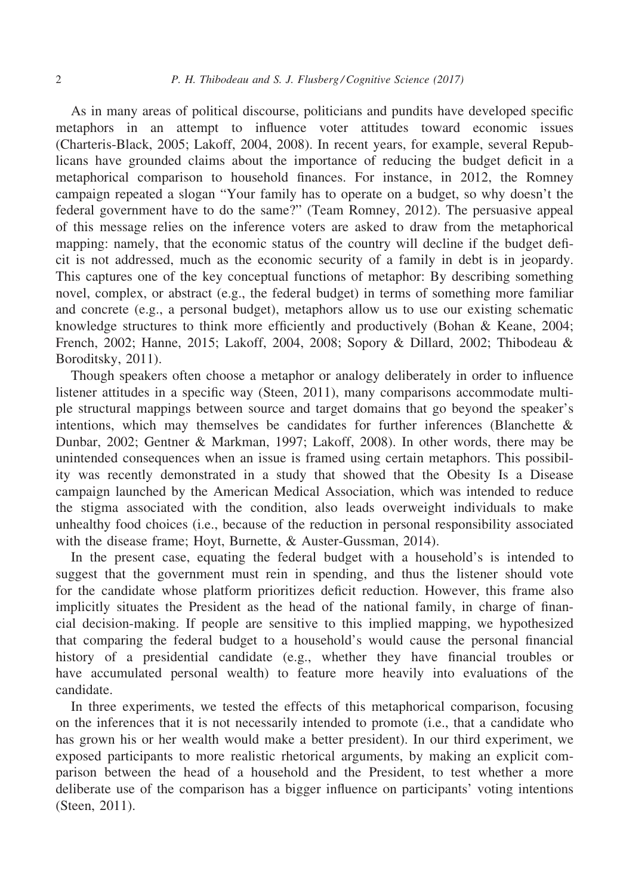As in many areas of political discourse, politicians and pundits have developed specific metaphors in an attempt to influence voter attitudes toward economic issues (Charteris-Black, 2005; Lakoff, 2004, 2008). In recent years, for example, several Republicans have grounded claims about the importance of reducing the budget deficit in a metaphorical comparison to household finances. For instance, in 2012, the Romney campaign repeated a slogan "Your family has to operate on a budget, so why doesn't the federal government have to do the same?" (Team Romney, 2012). The persuasive appeal of this message relies on the inference voters are asked to draw from the metaphorical mapping: namely, that the economic status of the country will decline if the budget deficit is not addressed, much as the economic security of a family in debt is in jeopardy. This captures one of the key conceptual functions of metaphor: By describing something novel, complex, or abstract (e.g., the federal budget) in terms of something more familiar and concrete (e.g., a personal budget), metaphors allow us to use our existing schematic knowledge structures to think more efficiently and productively (Bohan & Keane, 2004; French, 2002; Hanne, 2015; Lakoff, 2004, 2008; Sopory & Dillard, 2002; Thibodeau & Boroditsky, 2011).

Though speakers often choose a metaphor or analogy deliberately in order to influence listener attitudes in a specific way (Steen, 2011), many comparisons accommodate multiple structural mappings between source and target domains that go beyond the speaker's intentions, which may themselves be candidates for further inferences (Blanchette & Dunbar, 2002; Gentner & Markman, 1997; Lakoff, 2008). In other words, there may be unintended consequences when an issue is framed using certain metaphors. This possibility was recently demonstrated in a study that showed that the Obesity Is a Disease campaign launched by the American Medical Association, which was intended to reduce the stigma associated with the condition, also leads overweight individuals to make unhealthy food choices (i.e., because of the reduction in personal responsibility associated with the disease frame; Hoyt, Burnette, & Auster-Gussman, 2014).

In the present case, equating the federal budget with a household's is intended to suggest that the government must rein in spending, and thus the listener should vote for the candidate whose platform prioritizes deficit reduction. However, this frame also implicitly situates the President as the head of the national family, in charge of financial decision-making. If people are sensitive to this implied mapping, we hypothesized that comparing the federal budget to a household's would cause the personal financial history of a presidential candidate (e.g., whether they have financial troubles or have accumulated personal wealth) to feature more heavily into evaluations of the candidate.

In three experiments, we tested the effects of this metaphorical comparison, focusing on the inferences that it is not necessarily intended to promote (i.e., that a candidate who has grown his or her wealth would make a better president). In our third experiment, we exposed participants to more realistic rhetorical arguments, by making an explicit comparison between the head of a household and the President, to test whether a more deliberate use of the comparison has a bigger influence on participants' voting intentions (Steen, 2011).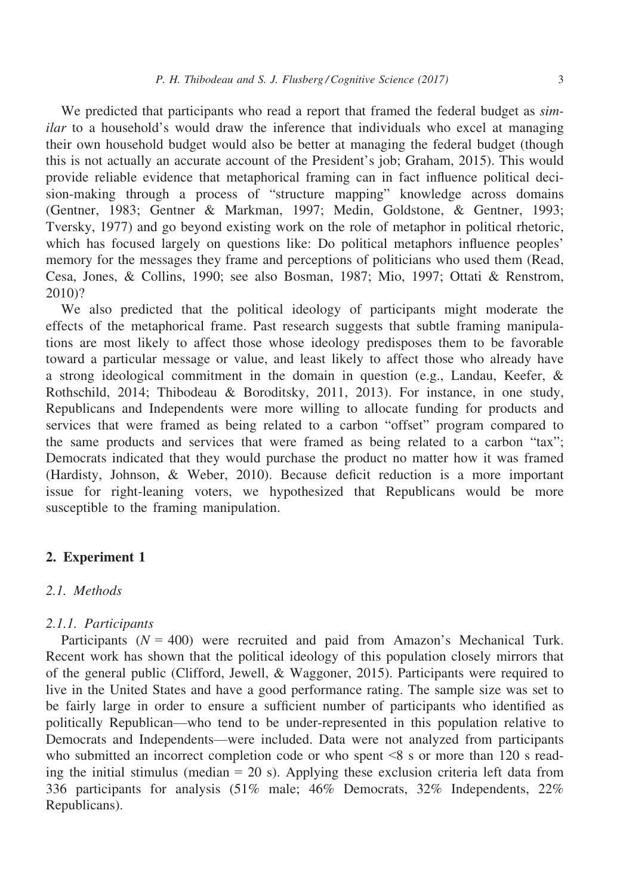We predicted that participants who read a report that framed the federal budget as similar to a household's would draw the inference that individuals who excel at managing their own household budget would also be better at managing the federal budget (though this is not actually an accurate account of the President's job; Graham, 2015). This would provide reliable evidence that metaphorical framing can in fact influence political decision-making through a process of "structure mapping" knowledge across domains (Gentner, 1983; Gentner & Markman, 1997; Medin, Goldstone, & Gentner, 1993; Tversky, 1977) and go beyond existing work on the role of metaphor in political rhetoric, which has focused largely on questions like: Do political metaphors influence peoples' memory for the messages they frame and perceptions of politicians who used them (Read, Cesa, Jones, & Collins, 1990; see also Bosman, 1987; Mio, 1997; Ottati & Renstrom, 2010)?

We also predicted that the political ideology of participants might moderate the effects of the metaphorical frame. Past research suggests that subtle framing manipulations are most likely to affect those whose ideology predisposes them to be favorable toward a particular message or value, and least likely to affect those who already have a strong ideological commitment in the domain in question (e.g., Landau, Keefer, & Rothschild, 2014; Thibodeau & Boroditsky, 2011, 2013). For instance, in one study, Republicans and Independents were more willing to allocate funding for products and services that were framed as being related to a carbon "offset" program compared to the same products and services that were framed as being related to a carbon "tax"; Democrats indicated that they would purchase the product no matter how it was framed (Hardisty, Johnson, & Weber, 2010). Because deficit reduction is a more important issue for right-leaning voters, we hypothesized that Republicans would be more susceptible to the framing manipulation.

## 2. Experiment 1

## 2.1. Methods

### 2.1.1. Participants

Participants  $(N = 400)$  were recruited and paid from Amazon's Mechanical Turk. Recent work has shown that the political ideology of this population closely mirrors that of the general public (Clifford, Jewell, & Waggoner, 2015). Participants were required to live in the United States and have a good performance rating. The sample size was set to be fairly large in order to ensure a sufficient number of participants who identified as politically Republican—who tend to be under-represented in this population relative to Democrats and Independents—were included. Data were not analyzed from participants who submitted an incorrect completion code or who spent <8 s or more than 120 s reading the initial stimulus (median  $= 20$  s). Applying these exclusion criteria left data from 336 participants for analysis (51% male; 46% Democrats, 32% Independents, 22% Republicans).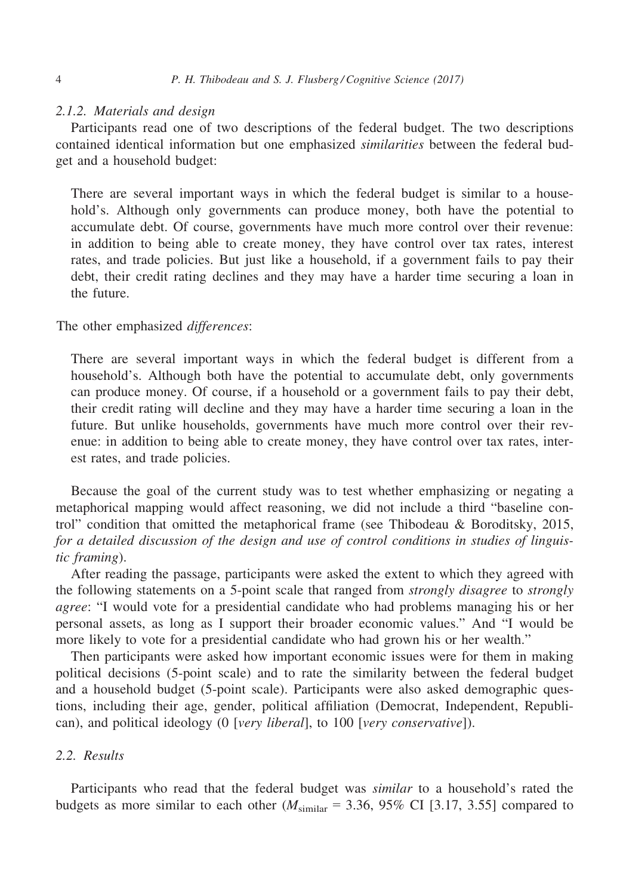## 2.1.2. Materials and design

Participants read one of two descriptions of the federal budget. The two descriptions contained identical information but one emphasized similarities between the federal budget and a household budget:

There are several important ways in which the federal budget is similar to a household's. Although only governments can produce money, both have the potential to accumulate debt. Of course, governments have much more control over their revenue: in addition to being able to create money, they have control over tax rates, interest rates, and trade policies. But just like a household, if a government fails to pay their debt, their credit rating declines and they may have a harder time securing a loan in the future.

#### The other emphasized *differences*:

There are several important ways in which the federal budget is different from a household's. Although both have the potential to accumulate debt, only governments can produce money. Of course, if a household or a government fails to pay their debt, their credit rating will decline and they may have a harder time securing a loan in the future. But unlike households, governments have much more control over their revenue: in addition to being able to create money, they have control over tax rates, interest rates, and trade policies.

Because the goal of the current study was to test whether emphasizing or negating a metaphorical mapping would affect reasoning, we did not include a third "baseline control" condition that omitted the metaphorical frame (see Thibodeau & Boroditsky, 2015, for a detailed discussion of the design and use of control conditions in studies of linguistic framing).

After reading the passage, participants were asked the extent to which they agreed with the following statements on a 5-point scale that ranged from *strongly disagree* to *strongly* agree: "I would vote for a presidential candidate who had problems managing his or her personal assets, as long as I support their broader economic values." And "I would be more likely to vote for a presidential candidate who had grown his or her wealth."

Then participants were asked how important economic issues were for them in making political decisions (5-point scale) and to rate the similarity between the federal budget and a household budget (5-point scale). Participants were also asked demographic questions, including their age, gender, political affiliation (Democrat, Independent, Republican), and political ideology (0 [very liberal], to 100 [very conservative]).

## 2.2. Results

Participants who read that the federal budget was *similar* to a household's rated the budgets as more similar to each other  $(M_{\text{similar}} = 3.36, 95\% \text{ CI} [3.17, 3.55]$  compared to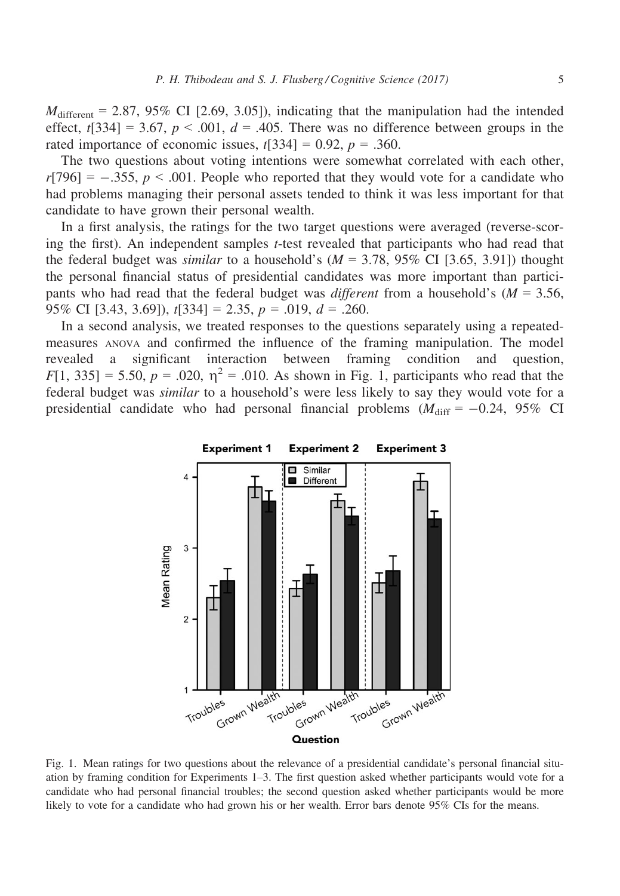$M_{\text{different}}$  = 2.87, 95% CI [2.69, 3.05]), indicating that the manipulation had the intended effect,  $t[334] = 3.67$ ,  $p < .001$ ,  $d = .405$ . There was no difference between groups in the rated importance of economic issues,  $t[334] = 0.92$ ,  $p = .360$ .

The two questions about voting intentions were somewhat correlated with each other,  $r[796] = -.355$ ,  $p < .001$ . People who reported that they would vote for a candidate who had problems managing their personal assets tended to think it was less important for that candidate to have grown their personal wealth.

In a first analysis, the ratings for the two target questions were averaged (reverse-scoring the first). An independent samples t-test revealed that participants who had read that the federal budget was *similar* to a household's  $(M = 3.78, 95\% \text{ CI} [3.65, 3.91])$  thought the personal financial status of presidential candidates was more important than participants who had read that the federal budget was *different* from a household's ( $M = 3.56$ , 95% CI [3.43, 3.69]),  $t[334] = 2.35$ ,  $p = .019$ ,  $d = .260$ .

In a second analysis, we treated responses to the questions separately using a repeatedmeasures ANOVA and confirmed the influence of the framing manipulation. The model revealed a significant interaction between framing condition and question,  $F[1, 335] = 5.50, p = .020, \eta^2 = .010$ . As shown in Fig. 1, participants who read that the federal budget was similar to a household's were less likely to say they would vote for a presidential candidate who had personal financial problems  $(M_{\text{diff}} = -0.24, 95\% \text{ CI})$ 



Fig. 1. Mean ratings for two questions about the relevance of a presidential candidate's personal financial situation by framing condition for Experiments 1–3. The first question asked whether participants would vote for a candidate who had personal financial troubles; the second question asked whether participants would be more likely to vote for a candidate who had grown his or her wealth. Error bars denote 95% CIs for the means.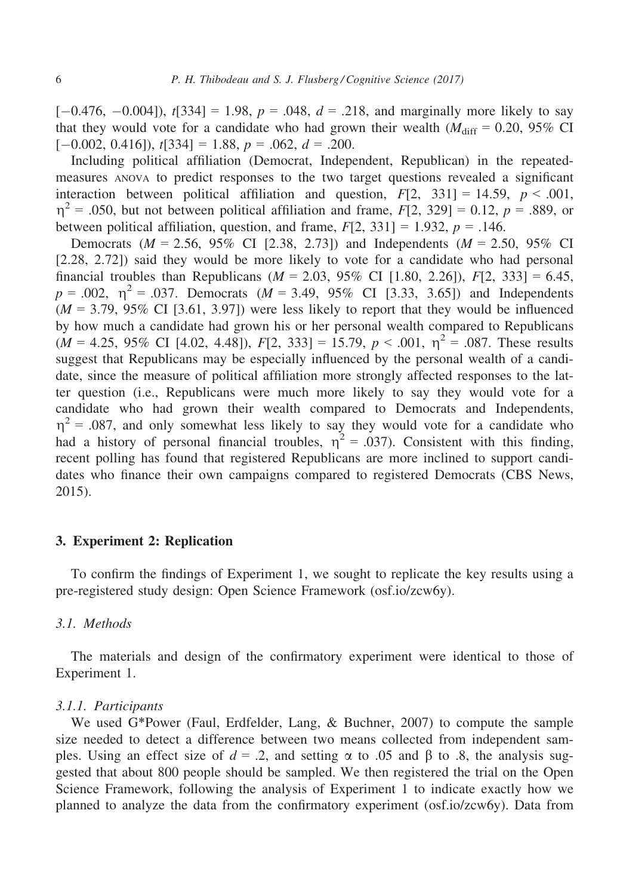$[-0.476, -0.004]$ ,  $t[334] = 1.98$ ,  $p = .048$ ,  $d = .218$ , and marginally more likely to say that they would vote for a candidate who had grown their wealth ( $M_{\text{diff}} = 0.20$ , 95% CI  $[-0.002, 0.416]$ ,  $t[334] = 1.88$ ,  $p = .062$ ,  $d = .200$ .

Including political affiliation (Democrat, Independent, Republican) in the repeatedmeasures ANOVA to predict responses to the two target questions revealed a significant interaction between political affiliation and question,  $F[2, 331] = 14.59$ ,  $p < .001$ ,  $\eta^2$  = .050, but not between political affiliation and frame, F[2, 329] = 0.12, p = .889, or between political affiliation, question, and frame,  $F[2, 331] = 1.932$ ,  $p = .146$ .

Democrats ( $M = 2.56$ , 95% CI [2.38, 2.73]) and Independents ( $M = 2.50$ , 95% CI [2.28, 2.72]) said they would be more likely to vote for a candidate who had personal financial troubles than Republicans ( $M = 2.03$ , 95% CI [1.80, 2.26]),  $F[2, 333] = 6.45$ ,  $p = .002$ ,  $\eta^2 = .037$ . Democrats ( $M = 3.49$ , 95% CI [3.33, 3.65]) and Independents  $(M = 3.79, 95\% \text{ CI } [3.61, 3.97])$  were less likely to report that they would be influenced by how much a candidate had grown his or her personal wealth compared to Republicans  $(M = 4.25, 95\% \text{ CI} [4.02, 4.48]), F[2, 333] = 15.79, p < .001, \eta^2 = .087.$  These results suggest that Republicans may be especially influenced by the personal wealth of a candidate, since the measure of political affiliation more strongly affected responses to the latter question (i.e., Republicans were much more likely to say they would vote for a candidate who had grown their wealth compared to Democrats and Independents,  $\eta^2$  = .087, and only somewhat less likely to say they would vote for a candidate who had a history of personal financial troubles,  $\eta^2 = .037$ ). Consistent with this finding, recent polling has found that registered Republicans are more inclined to support candidates who finance their own campaigns compared to registered Democrats (CBS News, 2015).

#### 3. Experiment 2: Replication

To confirm the findings of Experiment 1, we sought to replicate the key results using a pre-registered study design: Open Science Framework [\(osf.io/zcw6y](http://www.osf.io/zcw6y)).

#### 3.1. Methods

The materials and design of the confirmatory experiment were identical to those of Experiment 1.

#### 3.1.1. Participants

We used G\*Power (Faul, Erdfelder, Lang, & Buchner, 2007) to compute the sample size needed to detect a difference between two means collected from independent samples. Using an effect size of  $d = .2$ , and setting  $\alpha$  to .05 and  $\beta$  to .8, the analysis suggested that about 800 people should be sampled. We then registered the trial on the Open Science Framework, following the analysis of Experiment 1 to indicate exactly how we planned to analyze the data from the confirmatory experiment [\(osf.io/zcw6y\)](http://www.osf.io/zcw6y). Data from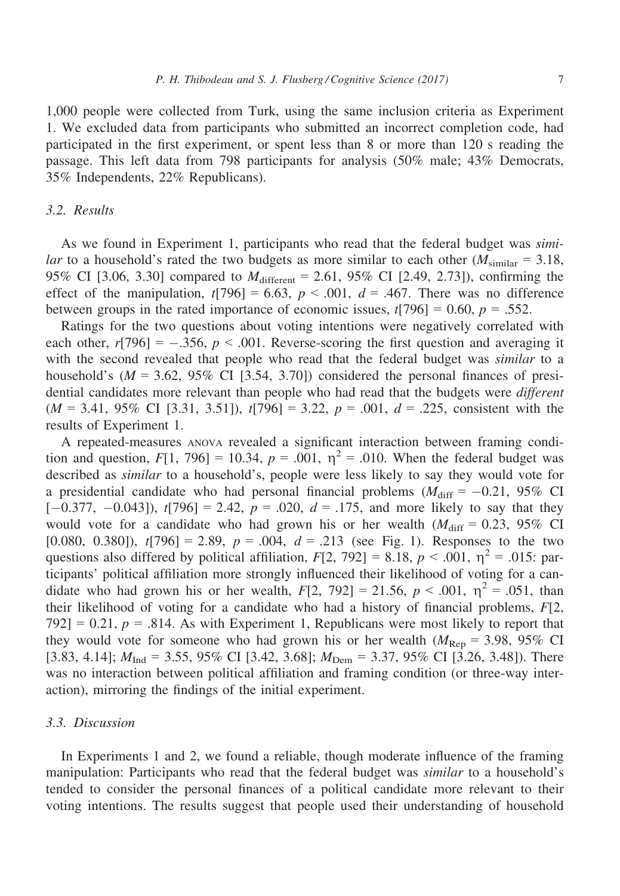1,000 people were collected from Turk, using the same inclusion criteria as Experiment 1. We excluded data from participants who submitted an incorrect completion code, had participated in the first experiment, or spent less than 8 or more than 120 s reading the passage. This left data from 798 participants for analysis (50% male; 43% Democrats, 35% Independents, 22% Republicans).

#### 3.2. Results

As we found in Experiment 1, participants who read that the federal budget was similar to a household's rated the two budgets as more similar to each other  $(M_{\text{similar}} = 3.18,$ 95% CI [3.06, 3.30] compared to  $M_{\text{different}} = 2.61, 95\%$  CI [2.49, 2.73]), confirming the effect of the manipulation,  $t[796] = 6.63$ ,  $p < .001$ ,  $d = .467$ . There was no difference between groups in the rated importance of economic issues,  $t[796] = 0.60$ ,  $p = .552$ .

Ratings for the two questions about voting intentions were negatively correlated with each other,  $r[796] = -.356$ ,  $p < .001$ . Reverse-scoring the first question and averaging it with the second revealed that people who read that the federal budget was *similar* to a household's ( $M = 3.62, 95\%$  CI [3.54, 3.70]) considered the personal finances of presidential candidates more relevant than people who had read that the budgets were different  $(M = 3.41, 95\% \text{ CI} [3.31, 3.51]),$   $t[796] = 3.22, p = .001, d = .225$ , consistent with the results of Experiment 1.

A repeated-measures ANOVA revealed a significant interaction between framing condition and question,  $F[1, 796] = 10.34$ ,  $p = .001$ ,  $\eta^2 = .010$ . When the federal budget was described as similar to a household's, people were less likely to say they would vote for a presidential candidate who had personal financial problems  $(M_{\text{diff}} = -0.21, 95\% \text{ CI}$  $[-0.377, -0.043]$ ,  $t[796] = 2.42$ ,  $p = .020$ ,  $d = .175$ , and more likely to say that they would vote for a candidate who had grown his or her wealth  $(M_{\text{diff}} = 0.23, 95\% \text{ CI})$ [0.080, 0.380]),  $t[796] = 2.89$ ,  $p = .004$ ,  $d = .213$  (see Fig. 1). Responses to the two questions also differed by political affiliation,  $F[2, 792] = 8.18$ ,  $p < .001$ ,  $\eta^2 = .015$ : participants' political affiliation more strongly influenced their likelihood of voting for a candidate who had grown his or her wealth,  $F[2, 792] = 21.56$ ,  $p < .001$ ,  $\eta^2 = .051$ , than their likelihood of voting for a candidate who had a history of financial problems,  $F[2, 1]$  $792$ ] = 0.21,  $p = .814$ . As with Experiment 1, Republicans were most likely to report that they would vote for someone who had grown his or her wealth ( $M_{\text{Rep}} = 3.98$ , 95% CI [3.83, 4.14];  $M_{\text{Ind}} = 3.55$ , 95% CI [3.42, 3.68];  $M_{\text{Dem}} = 3.37$ , 95% CI [3.26, 3.48]). There was no interaction between political affiliation and framing condition (or three-way interaction), mirroring the findings of the initial experiment.

## 3.3. Discussion

In Experiments 1 and 2, we found a reliable, though moderate influence of the framing manipulation: Participants who read that the federal budget was similar to a household's tended to consider the personal finances of a political candidate more relevant to their voting intentions. The results suggest that people used their understanding of household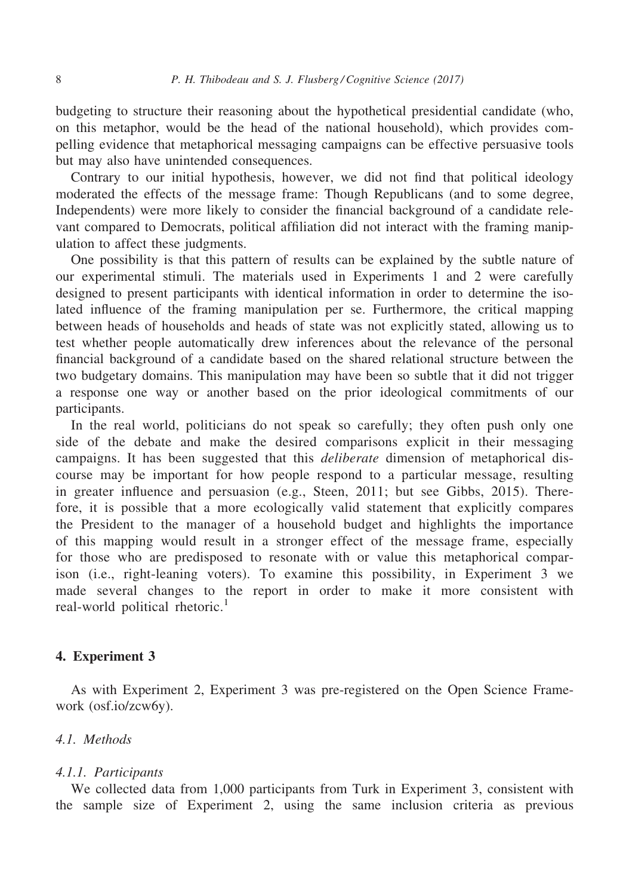budgeting to structure their reasoning about the hypothetical presidential candidate (who, on this metaphor, would be the head of the national household), which provides compelling evidence that metaphorical messaging campaigns can be effective persuasive tools but may also have unintended consequences.

Contrary to our initial hypothesis, however, we did not find that political ideology moderated the effects of the message frame: Though Republicans (and to some degree, Independents) were more likely to consider the financial background of a candidate relevant compared to Democrats, political affiliation did not interact with the framing manipulation to affect these judgments.

One possibility is that this pattern of results can be explained by the subtle nature of our experimental stimuli. The materials used in Experiments 1 and 2 were carefully designed to present participants with identical information in order to determine the isolated influence of the framing manipulation per se. Furthermore, the critical mapping between heads of households and heads of state was not explicitly stated, allowing us to test whether people automatically drew inferences about the relevance of the personal financial background of a candidate based on the shared relational structure between the two budgetary domains. This manipulation may have been so subtle that it did not trigger a response one way or another based on the prior ideological commitments of our participants.

In the real world, politicians do not speak so carefully; they often push only one side of the debate and make the desired comparisons explicit in their messaging campaigns. It has been suggested that this deliberate dimension of metaphorical discourse may be important for how people respond to a particular message, resulting in greater influence and persuasion (e.g., Steen, 2011; but see Gibbs, 2015). Therefore, it is possible that a more ecologically valid statement that explicitly compares the President to the manager of a household budget and highlights the importance of this mapping would result in a stronger effect of the message frame, especially for those who are predisposed to resonate with or value this metaphorical comparison (i.e., right-leaning voters). To examine this possibility, in Experiment 3 we made several changes to the report in order to make it more consistent with real-world political rhetoric.<sup>1</sup>

#### 4. Experiment 3

As with Experiment 2, Experiment 3 was pre-registered on the Open Science Framework [\(osf.io/zcw6y\)](http://www.osf.io/zcw6y).

## 4.1. Methods

#### 4.1.1. Participants

We collected data from 1,000 participants from Turk in Experiment 3, consistent with the sample size of Experiment 2, using the same inclusion criteria as previous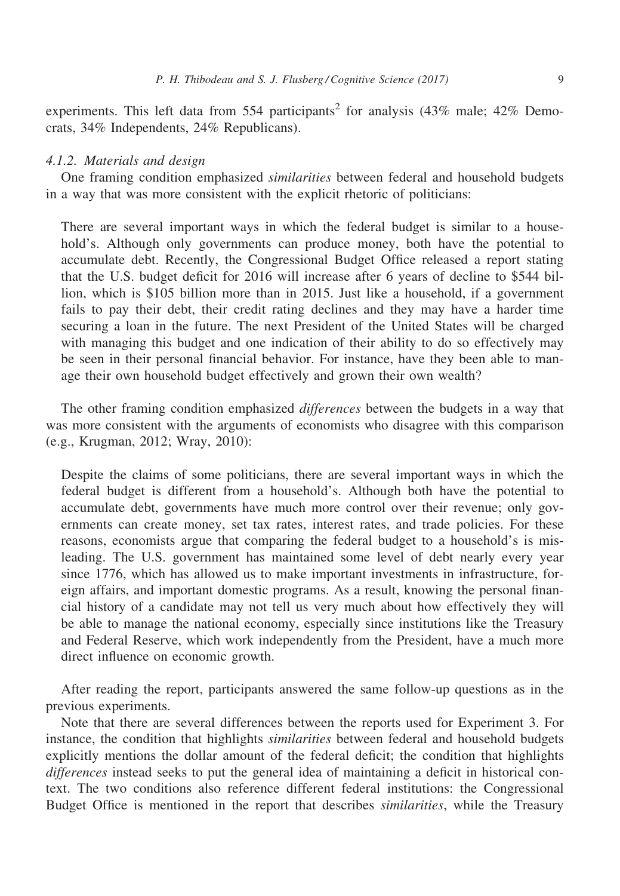experiments. This left data from 554 participants<sup>2</sup> for analysis (43% male; 42% Democrats, 34% Independents, 24% Republicans).

#### 4.1.2. Materials and design

One framing condition emphasized similarities between federal and household budgets in a way that was more consistent with the explicit rhetoric of politicians:

There are several important ways in which the federal budget is similar to a household's. Although only governments can produce money, both have the potential to accumulate debt. Recently, the Congressional Budget Office released a report stating that the U.S. budget deficit for 2016 will increase after 6 years of decline to \$544 billion, which is \$105 billion more than in 2015. Just like a household, if a government fails to pay their debt, their credit rating declines and they may have a harder time securing a loan in the future. The next President of the United States will be charged with managing this budget and one indication of their ability to do so effectively may be seen in their personal financial behavior. For instance, have they been able to manage their own household budget effectively and grown their own wealth?

The other framing condition emphasized *differences* between the budgets in a way that was more consistent with the arguments of economists who disagree with this comparison (e.g., Krugman, 2012; Wray, 2010):

Despite the claims of some politicians, there are several important ways in which the federal budget is different from a household's. Although both have the potential to accumulate debt, governments have much more control over their revenue; only governments can create money, set tax rates, interest rates, and trade policies. For these reasons, economists argue that comparing the federal budget to a household's is misleading. The U.S. government has maintained some level of debt nearly every year since 1776, which has allowed us to make important investments in infrastructure, foreign affairs, and important domestic programs. As a result, knowing the personal financial history of a candidate may not tell us very much about how effectively they will be able to manage the national economy, especially since institutions like the Treasury and Federal Reserve, which work independently from the President, have a much more direct influence on economic growth.

After reading the report, participants answered the same follow-up questions as in the previous experiments.

Note that there are several differences between the reports used for Experiment 3. For instance, the condition that highlights similarities between federal and household budgets explicitly mentions the dollar amount of the federal deficit; the condition that highlights differences instead seeks to put the general idea of maintaining a deficit in historical context. The two conditions also reference different federal institutions: the Congressional Budget Office is mentioned in the report that describes similarities, while the Treasury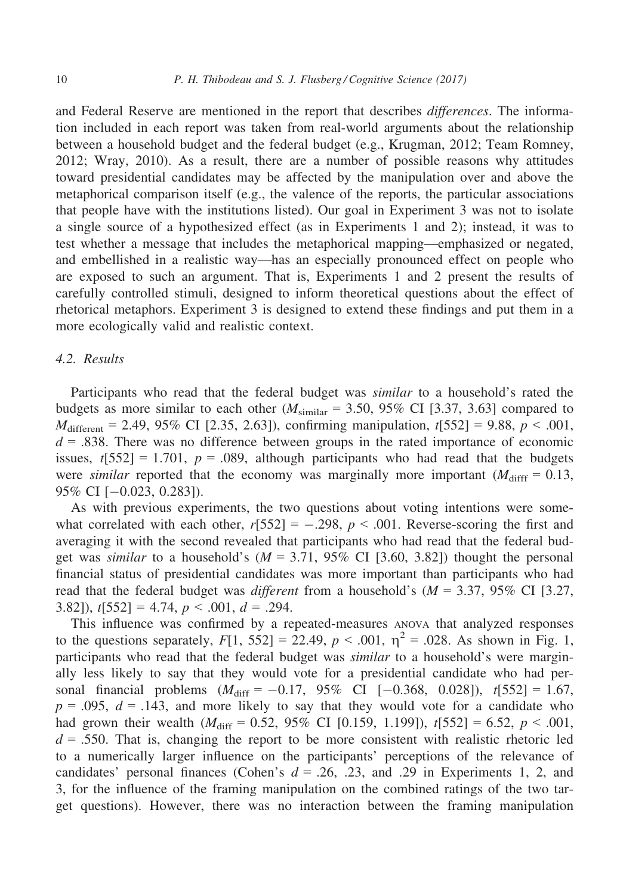and Federal Reserve are mentioned in the report that describes *differences*. The information included in each report was taken from real-world arguments about the relationship between a household budget and the federal budget (e.g., Krugman, 2012; Team Romney, 2012; Wray, 2010). As a result, there are a number of possible reasons why attitudes toward presidential candidates may be affected by the manipulation over and above the metaphorical comparison itself (e.g., the valence of the reports, the particular associations that people have with the institutions listed). Our goal in Experiment 3 was not to isolate a single source of a hypothesized effect (as in Experiments 1 and 2); instead, it was to test whether a message that includes the metaphorical mapping—emphasized or negated, and embellished in a realistic way—has an especially pronounced effect on people who are exposed to such an argument. That is, Experiments 1 and 2 present the results of carefully controlled stimuli, designed to inform theoretical questions about the effect of rhetorical metaphors. Experiment 3 is designed to extend these findings and put them in a more ecologically valid and realistic context.

## 4.2. Results

Participants who read that the federal budget was similar to a household's rated the budgets as more similar to each other  $(M_{\text{similar}} = 3.50, 95\% \text{ CI} [3.37, 3.63]$  compared to  $M_{\text{different}} = 2.49, 95\% \text{ CI}$  [2.35, 2.63]), confirming manipulation, t[552] = 9.88,  $p < .001$ ,  $d = 0.838$ . There was no difference between groups in the rated importance of economic issues,  $t[552] = 1.701$ ,  $p = .089$ , although participants who had read that the budgets were *similar* reported that the economy was marginally more important  $(M<sub>diff</sub> = 0.13)$ ,  $95\%$  CI [ $-0.023$ , 0.283]).

As with previous experiments, the two questions about voting intentions were somewhat correlated with each other,  $r[552] = -.298$ ,  $p < .001$ . Reverse-scoring the first and averaging it with the second revealed that participants who had read that the federal budget was *similar* to a household's  $(M = 3.71, 95\% \text{ CI } [3.60, 3.82])$  thought the personal financial status of presidential candidates was more important than participants who had read that the federal budget was *different* from a household's  $(M = 3.37, 95\% \text{ CI } [3.27,$ 3.82]),  $t[552] = 4.74$ ,  $p < .001$ ,  $d = .294$ .

This influence was confirmed by a repeated-measures ANOVA that analyzed responses to the questions separately,  $F[1, 552] = 22.49$ ,  $p < .001$ ,  $\eta^2 = .028$ . As shown in Fig. 1, participants who read that the federal budget was *similar* to a household's were marginally less likely to say that they would vote for a presidential candidate who had personal financial problems  $(M_{\text{diff}} = -0.17, 95\% \text{ CI} [-0.368, 0.028]), t[552] = 1.67,$  $p = .095, d = .143$ , and more likely to say that they would vote for a candidate who had grown their wealth ( $M_{\text{diff}} = 0.52$ , 95% CI [0.159, 1.199]),  $t[552] = 6.52$ ,  $p < .001$ ,  $d = 0.550$ . That is, changing the report to be more consistent with realistic rhetoric led to a numerically larger influence on the participants' perceptions of the relevance of candidates' personal finances (Cohen's  $d = .26, .23,$  and .29 in Experiments 1, 2, and 3, for the influence of the framing manipulation on the combined ratings of the two target questions). However, there was no interaction between the framing manipulation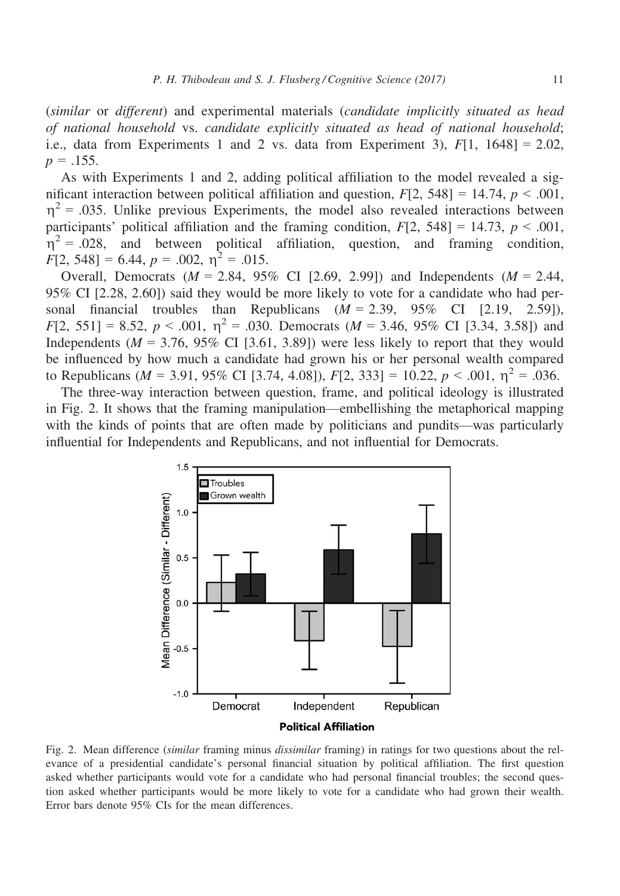(similar or different) and experimental materials (candidate implicitly situated as head of national household vs. candidate explicitly situated as head of national household; i.e., data from Experiments 1 and 2 vs. data from Experiment 3),  $F[1, 1648] = 2.02$ ,  $p = .155$ .

As with Experiments 1 and 2, adding political affiliation to the model revealed a significant interaction between political affiliation and question,  $F[2, 548] = 14.74$ ,  $p < .001$ ,  $\eta^2$  = .035. Unlike previous Experiments, the model also revealed interactions between participants' political affiliation and the framing condition,  $F[2, 548] = 14.73$ ,  $p < .001$ ,  $\eta^2$  = .028, and between political affiliation, question, and framing condition,  $F[2, 548] = 6.44, p = .002, \eta^2 = .015.$ 

Overall, Democrats ( $M = 2.84$ , 95% CI [2.69, 2.99]) and Independents ( $M = 2.44$ , 95% CI [2.28, 2.60]) said they would be more likely to vote for a candidate who had personal financial troubles than Republicans  $(M = 2.39, 95\% \text{ CI} [2.19, 2.59]),$  $F[2, 551] = 8.52, p < .001, \eta^2 = .030$ . Democrats ( $M = 3.46, 95\%$  CI [3.34, 3.58]) and Independents ( $M = 3.76$ , 95% CI [3.61, 3.89]) were less likely to report that they would be influenced by how much a candidate had grown his or her personal wealth compared to Republicans ( $M = 3.91$ , 95% CI [3.74, 4.08]),  $F[2, 333] = 10.22$ ,  $p < .001$ ,  $\eta^2 = .036$ .

The three-way interaction between question, frame, and political ideology is illustrated in Fig. 2. It shows that the framing manipulation—embellishing the metaphorical mapping with the kinds of points that are often made by politicians and pundits—was particularly influential for Independents and Republicans, and not influential for Democrats.



Fig. 2. Mean difference *(similar framing minus dissimilar framing)* in ratings for two questions about the relevance of a presidential candidate's personal financial situation by political affiliation. The first question asked whether participants would vote for a candidate who had personal financial troubles; the second question asked whether participants would be more likely to vote for a candidate who had grown their wealth. Error bars denote 95% CIs for the mean differences.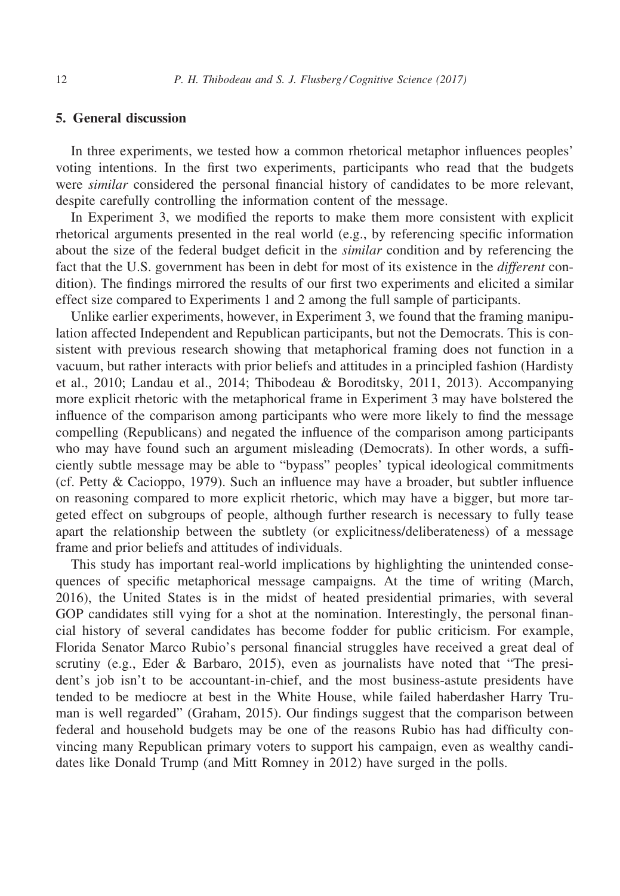## 5. General discussion

In three experiments, we tested how a common rhetorical metaphor influences peoples' voting intentions. In the first two experiments, participants who read that the budgets were *similar* considered the personal financial history of candidates to be more relevant, despite carefully controlling the information content of the message.

In Experiment 3, we modified the reports to make them more consistent with explicit rhetorical arguments presented in the real world (e.g., by referencing specific information about the size of the federal budget deficit in the *similar* condition and by referencing the fact that the U.S. government has been in debt for most of its existence in the *different* condition). The findings mirrored the results of our first two experiments and elicited a similar effect size compared to Experiments 1 and 2 among the full sample of participants.

Unlike earlier experiments, however, in Experiment 3, we found that the framing manipulation affected Independent and Republican participants, but not the Democrats. This is consistent with previous research showing that metaphorical framing does not function in a vacuum, but rather interacts with prior beliefs and attitudes in a principled fashion (Hardisty et al., 2010; Landau et al., 2014; Thibodeau & Boroditsky, 2011, 2013). Accompanying more explicit rhetoric with the metaphorical frame in Experiment 3 may have bolstered the influence of the comparison among participants who were more likely to find the message compelling (Republicans) and negated the influence of the comparison among participants who may have found such an argument misleading (Democrats). In other words, a sufficiently subtle message may be able to "bypass" peoples' typical ideological commitments (cf. Petty & Cacioppo, 1979). Such an influence may have a broader, but subtler influence on reasoning compared to more explicit rhetoric, which may have a bigger, but more targeted effect on subgroups of people, although further research is necessary to fully tease apart the relationship between the subtlety (or explicitness/deliberateness) of a message frame and prior beliefs and attitudes of individuals.

This study has important real-world implications by highlighting the unintended consequences of specific metaphorical message campaigns. At the time of writing (March, 2016), the United States is in the midst of heated presidential primaries, with several GOP candidates still vying for a shot at the nomination. Interestingly, the personal financial history of several candidates has become fodder for public criticism. For example, Florida Senator Marco Rubio's personal financial struggles have received a great deal of scrutiny (e.g., Eder & Barbaro, 2015), even as journalists have noted that "The president's job isn't to be accountant-in-chief, and the most business-astute presidents have tended to be mediocre at best in the White House, while failed haberdasher Harry Truman is well regarded" (Graham, 2015). Our findings suggest that the comparison between federal and household budgets may be one of the reasons Rubio has had difficulty convincing many Republican primary voters to support his campaign, even as wealthy candidates like Donald Trump (and Mitt Romney in 2012) have surged in the polls.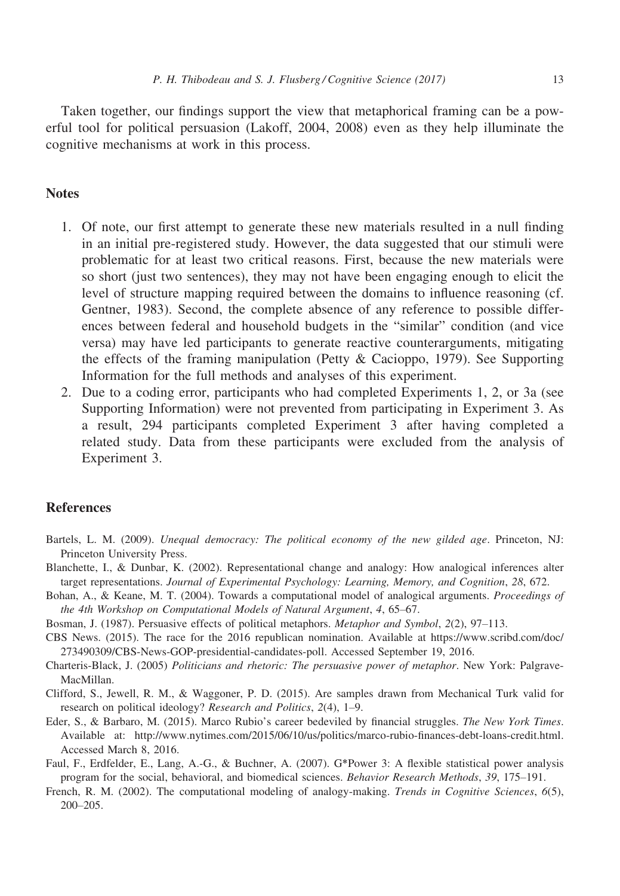Taken together, our findings support the view that metaphorical framing can be a powerful tool for political persuasion (Lakoff, 2004, 2008) even as they help illuminate the cognitive mechanisms at work in this process.

## **Notes**

- 1. Of note, our first attempt to generate these new materials resulted in a null finding in an initial pre-registered study. However, the data suggested that our stimuli were problematic for at least two critical reasons. First, because the new materials were so short (just two sentences), they may not have been engaging enough to elicit the level of structure mapping required between the domains to influence reasoning (cf. Gentner, 1983). Second, the complete absence of any reference to possible differences between federal and household budgets in the "similar" condition (and vice versa) may have led participants to generate reactive counterarguments, mitigating the effects of the framing manipulation (Petty  $\&$  Cacioppo, 1979). See Supporting Information for the full methods and analyses of this experiment.
- 2. Due to a coding error, participants who had completed Experiments 1, 2, or 3a (see Supporting Information) were not prevented from participating in Experiment 3. As a result, 294 participants completed Experiment 3 after having completed a related study. Data from these participants were excluded from the analysis of Experiment 3.

## References

- Bartels, L. M. (2009). Unequal democracy: The political economy of the new gilded age. Princeton, NJ: Princeton University Press.
- Blanchette, I., & Dunbar, K. (2002). Representational change and analogy: How analogical inferences alter target representations. Journal of Experimental Psychology: Learning, Memory, and Cognition, 28, 672.
- Bohan, A., & Keane, M. T. (2004). Towards a computational model of analogical arguments. Proceedings of the 4th Workshop on Computational Models of Natural Argument, 4, 65–67.
- Bosman, J. (1987). Persuasive effects of political metaphors. Metaphor and Symbol, 2(2), 97–113.
- CBS News. (2015). The race for the 2016 republican nomination. Available at [https://www.scribd.com/doc/](https://www.scribd.com/doc/273490309/CBS-News-GOP-presidential-candidates-poll) [273490309/CBS-News-GOP-presidential-candidates-poll](https://www.scribd.com/doc/273490309/CBS-News-GOP-presidential-candidates-poll). Accessed September 19, 2016.
- Charteris-Black, J. (2005) Politicians and rhetoric: The persuasive power of metaphor. New York: Palgrave-MacMillan.
- Clifford, S., Jewell, R. M., & Waggoner, P. D. (2015). Are samples drawn from Mechanical Turk valid for research on political ideology? Research and Politics, 2(4), 1–9.
- Eder, S., & Barbaro, M. (2015). Marco Rubio's career bedeviled by financial struggles. The New York Times. Available at: [http://www.nytimes.com/2015/06/10/us/politics/marco-rubio-finances-debt-loans-credit.html.](http://www.nytimes.com/2015/06/10/us/politics/marco-rubio-finances-debt-loans-credit.html) Accessed March 8, 2016.
- Faul, F., Erdfelder, E., Lang, A.-G., & Buchner, A. (2007). G\*Power 3: A flexible statistical power analysis program for the social, behavioral, and biomedical sciences. Behavior Research Methods, 39, 175–191.
- French, R. M. (2002). The computational modeling of analogy-making. Trends in Cognitive Sciences, 6(5), 200–205.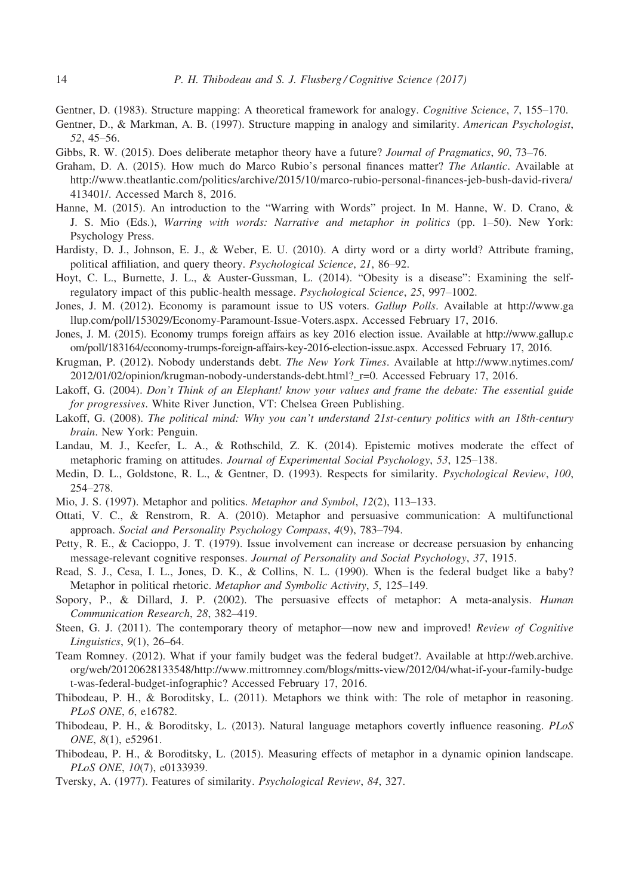- Gentner, D. (1983). Structure mapping: A theoretical framework for analogy. *Cognitive Science*, 7, 155–170.
- Gentner, D., & Markman, A. B. (1997). Structure mapping in analogy and similarity. American Psychologist, 52, 45–56.
- Gibbs, R. W. (2015). Does deliberate metaphor theory have a future? *Journal of Pragmatics*, 90, 73–76.
- Graham, D. A. (2015). How much do Marco Rubio's personal finances matter? The Atlantic. Available at [http://www.theatlantic.com/politics/archive/2015/10/marco-rubio-personal-finances-jeb-bush-david-rivera/](http://www.theatlantic.com/politics/archive/2015/10/marco-rubio-personal-finances-jeb-bush-david-rivera/413401/) [413401/](http://www.theatlantic.com/politics/archive/2015/10/marco-rubio-personal-finances-jeb-bush-david-rivera/413401/). Accessed March 8, 2016.
- Hanne, M. (2015). An introduction to the "Warring with Words" project. In M. Hanne, W. D. Crano, & J. S. Mio (Eds.), Warring with words: Narrative and metaphor in politics (pp. 1–50). New York: Psychology Press.
- Hardisty, D. J., Johnson, E. J., & Weber, E. U. (2010). A dirty word or a dirty world? Attribute framing, political affiliation, and query theory. Psychological Science, 21, 86–92.
- Hoyt, C. L., Burnette, J. L., & Auster-Gussman, L. (2014). "Obesity is a disease": Examining the selfregulatory impact of this public-health message. Psychological Science, 25, 997–1002.
- Jones, J. M. (2012). Economy is paramount issue to US voters. Gallup Polls. Available at [http://www.ga](http://www.gallup.com/poll/153029/Economy-Paramount-Issue-Voters.aspx) [llup.com/poll/153029/Economy-Paramount-Issue-Voters.aspx.](http://www.gallup.com/poll/153029/Economy-Paramount-Issue-Voters.aspx) Accessed February 17, 2016.
- Jones, J. M. (2015). Economy trumps foreign affairs as key 2016 election issue. Available at [http://www.gallup.c](http://www.gallup.com/poll/183164/economy-trumps-foreign-affairs-key-2016-election-issue.aspx) [om/poll/183164/economy-trumps-foreign-affairs-key-2016-election-issue.aspx.](http://www.gallup.com/poll/183164/economy-trumps-foreign-affairs-key-2016-election-issue.aspx) Accessed February 17, 2016.
- Krugman, P. (2012). Nobody understands debt. The New York Times. Available at [http://www.nytimes.com/](http://www.nytimes.com/2012/01/02/opinion/krugman-nobody-understands-debt.html?_r=0) [2012/01/02/opinion/krugman-nobody-understands-debt.html?\\_r=0](http://www.nytimes.com/2012/01/02/opinion/krugman-nobody-understands-debt.html?_r=0). Accessed February 17, 2016.
- Lakoff, G. (2004). Don't Think of an Elephant! know your values and frame the debate: The essential guide for progressives. White River Junction, VT: Chelsea Green Publishing.
- Lakoff, G. (2008). The political mind: Why you can't understand 21st-century politics with an 18th-century brain. New York: Penguin.
- Landau, M. J., Keefer, L. A., & Rothschild, Z. K. (2014). Epistemic motives moderate the effect of metaphoric framing on attitudes. Journal of Experimental Social Psychology, 53, 125–138.
- Medin, D. L., Goldstone, R. L., & Gentner, D. (1993). Respects for similarity. *Psychological Review, 100*, 254–278.
- Mio, J. S. (1997). Metaphor and politics. Metaphor and Symbol, 12(2), 113–133.
- Ottati, V. C., & Renstrom, R. A. (2010). Metaphor and persuasive communication: A multifunctional approach. Social and Personality Psychology Compass, 4(9), 783–794.
- Petty, R. E., & Cacioppo, J. T. (1979). Issue involvement can increase or decrease persuasion by enhancing message-relevant cognitive responses. Journal of Personality and Social Psychology, 37, 1915.
- Read, S. J., Cesa, I. L., Jones, D. K., & Collins, N. L. (1990). When is the federal budget like a baby? Metaphor in political rhetoric. Metaphor and Symbolic Activity, 5, 125–149.
- Sopory, P., & Dillard, J. P. (2002). The persuasive effects of metaphor: A meta-analysis. Human Communication Research, 28, 382–419.
- Steen, G. J. (2011). The contemporary theory of metaphor—now new and improved! Review of Cognitive Linguistics, 9(1), 26–64.
- Team Romney. (2012). What if your family budget was the federal budget?. Available at [http://web.archive.](http://web.archive.org/web/20120628133548/http://www.mittromney.com/blogs/mitts-view/2012/04/what-if-your-family-budget-was-federal-budget-infographic) [org/web/20120628133548/http://www.mittromney.com/blogs/mitts-view/2012/04/what-if-your-family-budge](http://web.archive.org/web/20120628133548/http://www.mittromney.com/blogs/mitts-view/2012/04/what-if-your-family-budget-was-federal-budget-infographic) [t-was-federal-budget-infographic?](http://web.archive.org/web/20120628133548/http://www.mittromney.com/blogs/mitts-view/2012/04/what-if-your-family-budget-was-federal-budget-infographic) Accessed February 17, 2016.
- Thibodeau, P. H., & Boroditsky, L. (2011). Metaphors we think with: The role of metaphor in reasoning. PLoS ONE, 6, e16782.
- Thibodeau, P. H., & Boroditsky, L. (2013). Natural language metaphors covertly influence reasoning. PLoS ONE, 8(1), e52961.
- Thibodeau, P. H., & Boroditsky, L. (2015). Measuring effects of metaphor in a dynamic opinion landscape. PLoS ONE, 10(7), e0133939.
- Tversky, A. (1977). Features of similarity. Psychological Review, 84, 327.